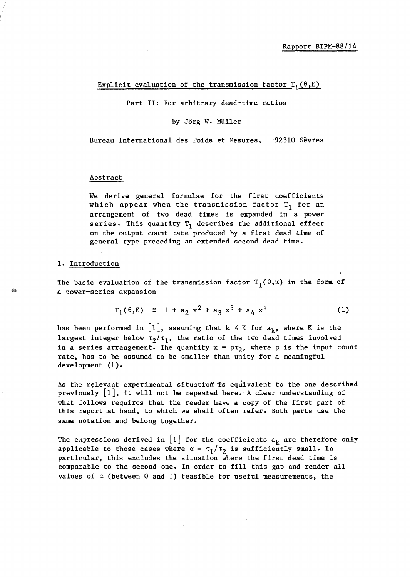# Explicit evaluation of the transmission factor  $T_1$  ( $\theta$ , E)

Part 11: For arbitrary dead-time ratios

#### by Jorg W. MUller

Bureau International des Poids et Mesures, F-92310 Sevres

#### Abstract

We derive general formulae for the first coefficients which appear when the transmission factor  $T_1$  for an arrangement of two dead times is expanded in a power series. This quantity  $T_1$  describes the additional effect on the output count rate produced by a first dead time of general type preceding an extended second dead time.

#### 1. Introduction

The basic evaluation of the transmission factor  $T_1(\theta,E)$  in the form of a power-series expansion

$$
T_1(\theta, E) \cong 1 + a_2 x^2 + a_3 x^3 + a_4 x^4
$$
 (1)

has been performed in  $[1]$ , assuming that  $k \le K$  for  $a_k$ , where K is the largest integer below  $\tau_2/\tau_1$ , the ratio of the two dead times involved in a series arrangement. The quantity  $x = \rho \tau_2$ , where  $\rho$  is the input count rate, has to be assumed to be smaller than unity for a meaningful development (1).

As the relevant experimental situation is equivalent to the one described previously  $|1|$ , it will not be repeated here. A clear understanding of what follows requires that the reader have a copy of the first part of this report at hand, to which we shall often refer. Both parts use the same notation and belong together.

The expressions derived in  $\lfloor 1 \rfloor$  for the coefficients  $a_k$  are therefore only applicable to those cases where  $\alpha = \tau_1/\tau_2$  is sufficiently small. In particular, this excludes the situation where the first dead time is comparable to the second one. In order to fill this gap and render all values of *a* (between 0 and 1) feasible for useful measurements, the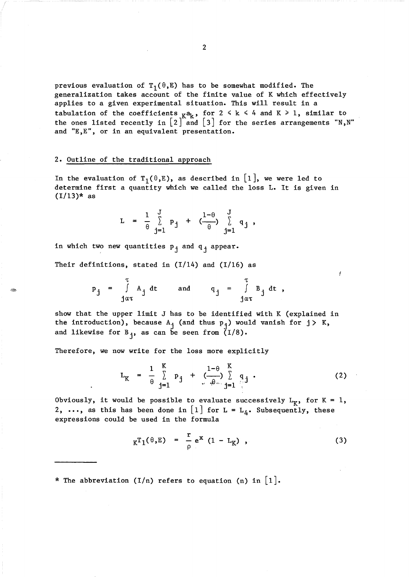previous evaluation of  $T_1(\theta,E)$  has to be somewhat modified. The generalization takes account of the finite value of K which effectively applies to a given experimental situation. This will result in a tabulation of the coefficients  $_{K}a_{k}$ , for  $2 \le k \le 4$  and  $K \ge 1$ , similar to the ones listed recently in  $[2]$  and  $[3]$  for the series arrangements "N, N" and "E,E", or in an equivalent presentation.

#### 2. Outline of the traditional approach

In the evaluation of  $T_1(\theta,E)$ , as described in  $[1]$ , we were led to determine first a quantity which we called the loss L. It is given in  $(1/13)*$  as

$$
L = \frac{1}{\theta} \sum_{j=1}^{J} p_j + (\frac{1-\theta}{\theta}) \sum_{j=1}^{J} q_j ,
$$

in which two new quantities  $p_i$  and  $q_i$  appear.

Their definitions, stated in  $(I/14)$  and  $(I/16)$  as

$$
p_j = \int_{\substack{j \text{at} \\ j \alpha \tau}}^{T} A_j dt \quad \text{and} \quad q_j = \int_{\substack{j \text{at} \\ j \alpha \tau}}^{T} B_j dt,
$$

show that the upper limit J has to be identified with K (explained in the introduction), because  $A_j$  (and thus  $p_j$ ) would vanish for  $j > K$ , and likewise for  $B_1$ , as can be seen from  $(I/8)$ .

Therefore, we now write for the loss more explicitly

$$
L_K = \frac{1}{\theta} \sum_{j=1}^{K} p_j + \left( \frac{1-\theta}{\theta} \right) \sum_{j=1}^{K} q_j
$$
 (2)

Obviously, it would be possible to evaluate successively  $L_K$ , for  $K = 1$ , 2, ..., as this has been done in [1] for  $L = L_4$ . Subsequently, these expressions could be used in the formula

$$
K^{T}1(\theta,E) = \frac{r}{\rho} e^{X} (1 - L_{K}), \qquad (3)
$$

\* The abbreviation (I/n) refers to equation (n) in  $[1]$ .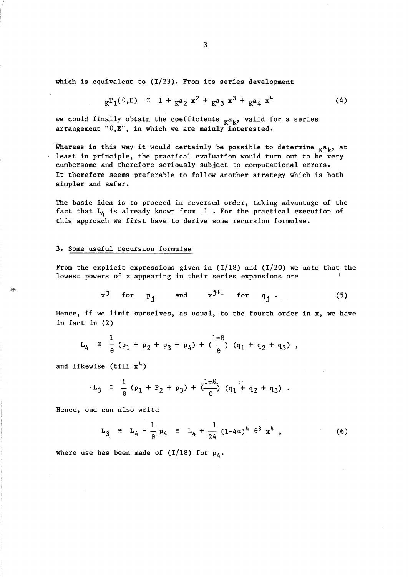which is equivalent to  $(1/23)$ . From its series development

$$
K^{T_1(\theta, E)} \cong 1 +_{K^{2}2} x^{2} +_{K^{2}3} x^{3} +_{K^{2}4} x^{4}
$$
 (4)

we could finally obtain the coefficients  $_{K}a_{k}$ , valid for a series arrangement " $\theta$ , E", in which we are mainly interested.

Whereas in this way it would certainly be possible to determine  $_{K}a_{k}$ , at least in principle, the practical evaluation would turn out to be very cumbersome and therefore seriously subject to computational errors. It therefore seems preferable to follow another strategy which is both simpler and safer.

The basic idea is to proceed in reversed order, taking advantage of the fact that  $L_4$  is already known from  $[1]$ . For the practical execution of this approach we first have to derive some recursion formulae.

### 3. Some useful recursion formulae

From the explicit expressions given in  $(I/18)$  and  $(I/20)$  we note that the lowest powers of x appearing in their series expansions are

$$
x^j
$$
 for  $p_j$  and  $x^{j+l}$  for  $q_j$ . (5)

Hence, if we limit ourselves, as usual, to the fourth order in x, we have in fact in (2)

$$
L_4 \cong \frac{1}{\theta} (p_1 + p_2 + p_3 + p_4) + (\frac{1-\theta}{\theta}) (q_1 + q_2 + q_3),
$$

and likewise (till  $x^4$ )

$$
L_3 \cong \frac{1}{\theta} (p_1 + p_2 + p_3) + (\frac{1}{\theta}) (q_1 + q_2 + q_3).
$$

Hence, one can also write

$$
L_3 \cong L_4 - \frac{1}{\theta} p_4 \cong L_4 + \frac{1}{24} (1-4\alpha)^4 \theta^3 x^4
$$
, (6)

where use has been made of (1/18) for  $p_4$ .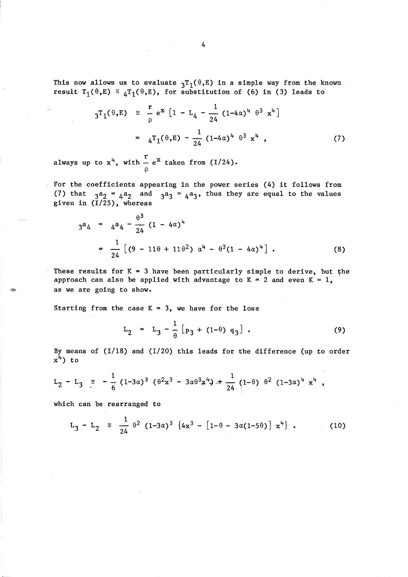This now allows us to evaluate  ${}_{3}T_{1}(\theta,E)$  in a simple way from the known result  $T_1(\theta,E) = 4T_1(\theta,E)$ , for substitution of (6) in (3) leads to

$$
3^{T}1^{(\theta, E)} \cong \frac{r}{\rho} e^{X} [1 - L_{4} - \frac{1}{24} (1 - 4\alpha)^{4} \theta^{3} x^{4}]
$$

$$
= 4^{T}1^{(\theta, E)} - \frac{1}{24} (1 - 4\alpha)^{4} \theta^{3} x^{4}, \qquad (7)
$$

always up to  $x^4$ , with  $\frac{r}{x}$  e<sup>x</sup> taken from (I/24). p

For the coefficients appearing in the power series (4) it follows from (7) that  $3^{a_2} = 4^{a_2}$  and  $3^{a_3} = 4^{a_3}$ , thus they are equal to the values given in  $(1/25)$ , whereas

$$
3^{a}4 = 4^{a}4 - \frac{\theta^{3}}{24} (1 - 4\alpha)^{4}
$$
  
=  $\frac{1}{24} [(9 - 11\theta + 11\theta^{2}) \alpha^{4} - \theta^{3}(1 - 4\alpha)^{4}].$  (8)

These results for  $K = 3$  have been particularly simple to derive, but the approach can also be applied with advantage to  $K = 2$  and even  $K = 1$ , as we are going to show.

Starting from the case  $K = 3$ , we have for the loss

$$
L_2 = L_3 - \frac{1}{\theta} [p_3 + (1-\theta) q_3]. \qquad (9)
$$

By means of (1/18) and (1/20) this leads for the difference (up to order  $x^4$ ) to

$$
L_2 - L_3 = -\frac{1}{6} (1-3\alpha)^3 (0^2 x^3 - 3\alpha 0^3 x^4) + \frac{1}{24} (1-\theta) \theta^2 (1-3\alpha)^4 x^4
$$

which can be rearranged to

÷,

$$
L_3 - L_2 \cong \frac{1}{24} \theta^2 (1-3\alpha)^3 \{4x^3 - [1-\theta - 3\alpha(1-5\theta)] x^4\} .
$$
 (10)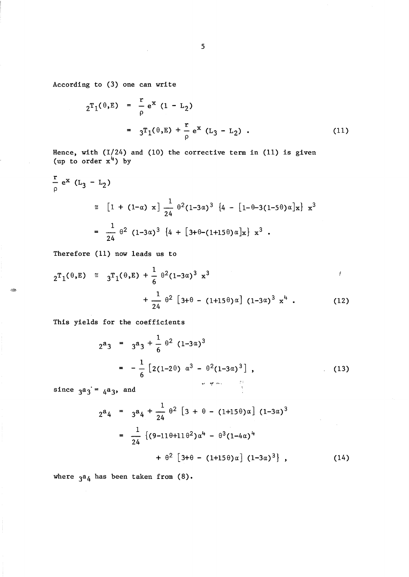According to (3) one can write

 $\mathcal{L}_{\text{max}}$ 

$$
2^{T}1^{(\theta,E)} = \frac{r}{\rho} e^{x} (1 - L_{2})
$$
  
=  $3^{T}1^{(\theta,E)} + \frac{r}{\rho} e^{x} (L_{3} - L_{2})$ . (11)

Hence, with ( $1/24$ ) and (10) the corrective term in (11) is given (up to order  $x^4$ ) by

$$
\frac{r}{\rho} e^{x} (L_{3} - L_{2})
$$
\n
$$
\approx [1 + (1-\alpha) x] \frac{1}{24} \theta^{2} (1-3\alpha)^{3} \{4 - [1-\theta-3(1-5\theta)\alpha]x\} x^{3}
$$
\n
$$
= \frac{1}{24} \theta^{2} (1-3\alpha)^{3} \{4 + [3+\theta-(1+15\theta)\alpha]x\} x^{3}.
$$

Therefore (11) now leads us to

$$
2^{T}1^{(\theta,E)} \cong 3^{T}1^{(\theta,E)} + \frac{1}{6} \theta^{2} (1-3\alpha)^{3} x^{3} + \frac{1}{24} \theta^{2} [3+\theta - (1+15\theta)\alpha] (1-3\alpha)^{3} x^{4}
$$
 (12)

This yields for the coefficients

$$
2^{a}3 = 3^{a}3 + \frac{1}{6} \theta^{2} (1-3\alpha)^{3}
$$
  
=  $-\frac{1}{6} [2(1-2\theta) \alpha^{3} - \theta^{2}(1-3\alpha)^{3}],$  (13)  
 $4^{a}3$ , and

since  $3a_3' = 4a_3$ , and

 $\langle \hat{q} \rangle$ 

$$
2^{a}4 = 3^{a}4 + \frac{1}{24} \theta^{2} [3 + \theta - (1+15\theta)\alpha] (1-3\alpha)^{3}
$$
  
= 
$$
\frac{1}{24} \{ (9-11\theta+11\theta^{2})\alpha^{4} - \theta^{3} (1-4\alpha)^{4} + \theta^{2} [3+\theta - (1+15\theta)\alpha] (1-3\alpha)^{3} \},
$$
 (14)

where  $3^a 4$  has been taken from (8).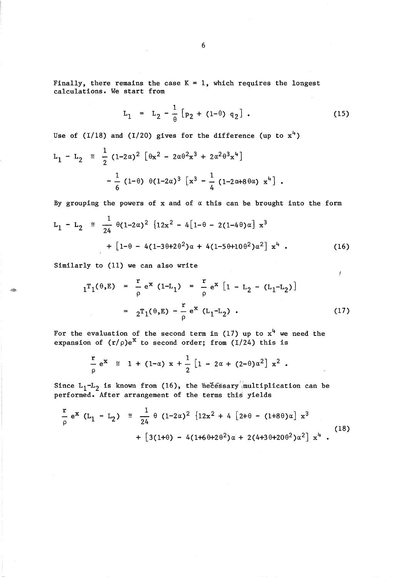Finally, there remains the case  $K = 1$ , which requires the longest calculations. We start from

$$
L_1 = L_2 - \frac{1}{\theta} [p_2 + (1-\theta) q_2]. \qquad (15)
$$

Use of  $(I/18)$  and  $(I/20)$  gives for the difference (up to  $x^4$ )

$$
L_1 - L_2 \cong \frac{1}{2} (1 - 2\alpha)^2 \left[ \theta x^2 - 2\alpha \theta^2 x^3 + 2\alpha^2 \theta^3 x^4 \right] \\
- \frac{1}{6} (1 - \theta) \theta (1 - 2\alpha)^3 \left[ x^3 - \frac{1}{4} (1 - 2\alpha + 8\theta \alpha) x^4 \right].
$$

By grouping the powers of  $x$  and of  $\alpha$  this can be brought into the form

$$
L_1 - L_2 \cong \frac{1}{24} \theta (1 - 2\alpha)^2 \left\{ 12x^2 - 4 \left[ 1 - \theta - 2(1 - 4\theta)\alpha \right] x^3 + \left[ 1 - \theta - 4(1 - 3\theta + 2\theta^2)\alpha + 4(1 - 5\theta + 10\theta^2)\alpha^2 \right] x^4 \right\}.
$$
 (16)

Similarly to (11) we can also write

$$
1^{T}1^{(\theta,E)} = \frac{r}{\rho} e^{x} (1-L_{1}) = \frac{r}{\rho} e^{x} [1 - L_{2} - (L_{1}-L_{2})]
$$
  

$$
= 2^{T}1^{(\theta,E)} - \frac{r}{\rho} e^{x} (L_{1}-L_{2}). \qquad (17)
$$

j

For the evaluation of the second term in (17) up to  $x^4$  we need the expansion of  $(r/\rho)e^X$  to second order; from  $(1/24)$  this is

$$
\frac{r}{\rho} e^{x} \equiv 1 + (1-\alpha) x + \frac{1}{2} [1 - 2\alpha + (2-\theta)\alpha^{2}] x^{2}.
$$

Since  $L_1-L_2$  is known from (16), the necessary multiplication can be performed. After arrangement of the terms this yields

$$
\frac{r}{\rho} e^{x} (L_{1} - L_{2}) \cong \frac{1}{24} \theta (1 - 2\alpha)^{2} [12x^{2} + 4 [2 + \theta - (1 + 8\theta)\alpha] x^{3} + [3(1 + \theta) - 4(1 + 6\theta + 2\theta^{2})\alpha + 2(4 + 3\theta + 20\theta^{2})\alpha^{2}] x^{4} .
$$
\n(18)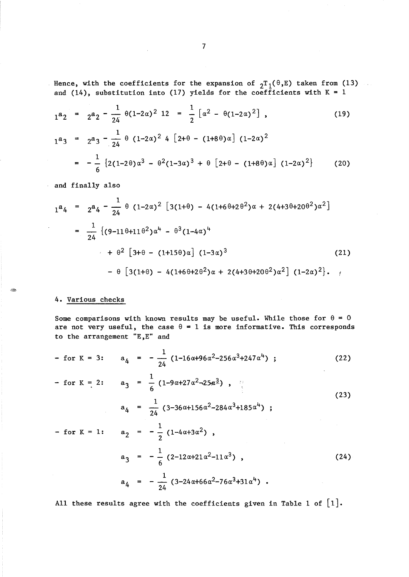Hence, with the coefficients for the expansion of  ${}_2T_1(\theta,E)$  taken from (13). and (14), substitution into (17) yields for the coefficients with  $K = 1$ 

$$
1^{a}2 = 2^{a}2 - \frac{1}{24} \theta (1-2\alpha)^{2} 12 = \frac{1}{2} [\alpha^{2} - \theta (1-2\alpha)^{2}], \qquad (19)
$$
  

$$
1^{a}3 = 2^{a}3 - \frac{1}{24} \theta (1-2\alpha)^{2} 4 [2+\theta - (1+\theta)\alpha] (1-2\alpha)^{2}
$$
  

$$
= -\frac{1}{6} \{2(1-2\theta)\alpha^{3} - \theta^{2}(1-3\alpha)^{3} + \theta [2+\theta - (1+\theta)\alpha] (1-2\alpha)^{2} \} \qquad (20)
$$

and finally also

$$
1^{a}4 = 2^{a}4 - \frac{1}{24} \theta (1-2\alpha)^{2} [3(1+ \theta) - 4(1+6\theta + 2\theta^{2})\alpha + 2(4+3\theta + 20\theta^{2})\alpha^{2}]
$$
  
\n
$$
= \frac{1}{24} \{ (9-11\theta + 11\theta^{2})\alpha^{4} - \theta^{3} (1-4\alpha)^{4} + \theta^{2} [3+ \theta - (1+15\theta)\alpha] (1-3\alpha)^{3} - \theta [3(1+ \theta) - 4(1+6\theta + 2\theta^{2})\alpha + 2(4+3\theta + 20\theta^{2})\alpha^{2}] (1-2\alpha)^{2} \},
$$
\n(21)

# 4. Various checks

Some comparisons with known results may be useful. While those for  $\theta = 0$ are not very useful, the case  $\theta = 1$  is more informative. This corresponds to the arrangement "E,E" and

$$
- \text{ for } K = 3: \qquad a_4 = -\frac{1}{24} \left( 1 - 16\alpha + 96\alpha^2 - 256\alpha^3 + 247\alpha^4 \right) ; \qquad (22)
$$

$$
- \text{ for } K = 2: \quad a_3 = \frac{1}{6} \left( 1 - 9\alpha + 27\alpha^2 - 25\alpha^3 \right) , \quad (23)
$$

$$
a_4 = \frac{1}{24} \left( 3 - 36\alpha + 156\alpha^2 - 284\alpha^3 + 185\alpha^4 \right) ;
$$

- for K = 1:  $a_2 = -\frac{1}{2}(1-4\alpha+3\alpha^2)$  $-\frac{1}{4}$  (2-12a+21a<sup>2</sup>-11a<sup>3</sup>) (24) 6  $a_4 = -\frac{1}{24} (3 - 24\alpha + 66\alpha^2 - 76\alpha^3 + 31\alpha^4)$ .

All these results agree with the coefficients given in Table 1 of  $[1]$ .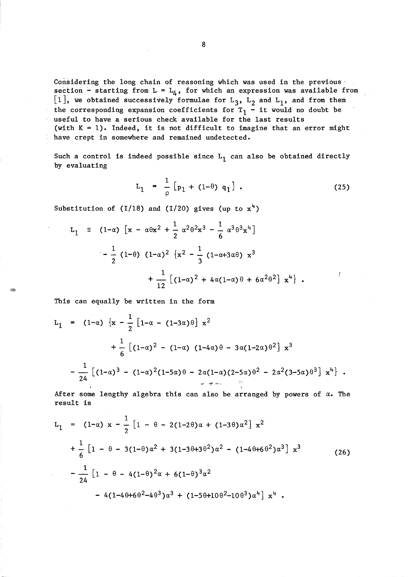Considering the long chain of reasoning which was used in the previous  $\cdot$ section - starting from  $L = L_4$ , for which an expression was available from [1], we obtained successively formulae for  $L_3$ ,  $L_2$  and  $L_1$ , and from them the corresponding expansion coefficients for  $T_1$  - it would no doubt be useful to have a serious check available for the last results (with  $K = 1$ ). Indeed, it is not difficult to imagine that an error might have crept in somewhere and remained undetected.

Such a control is indeed possible since  $L_1$  can also be obtained directly by evaluating

$$
L_1 = \frac{1}{\rho} [p_1 + (1-\theta) q_1]. \qquad (25)
$$

Substitution of (I/18) and (I/20) gives (up to  $x^4$ )

$$
L_1 \cong (1-\alpha) [x - \alpha \theta x^2 + \frac{1}{2} \alpha^2 \theta^2 x^3 - \frac{1}{6} \alpha^3 \theta^3 x^4]
$$
  

$$
- \frac{1}{2} (1-\theta) (1-\alpha)^2 \{x^2 - \frac{1}{3} (1-\alpha+3\alpha\theta) x^3 + \frac{1}{12} [(1-\alpha)^2 + 4\alpha(1-\alpha)\theta + 6\alpha^2\theta^2] x^4 \}.
$$

This can equally be written in the form

$$
L_1 = (1-\alpha) \{x - \frac{1}{2} [1-\alpha - (1-3\alpha)\theta] x^2 + \frac{1}{6} [(1-\alpha)^2 - (1-\alpha) (1-4\alpha)\theta - 3\alpha(1-2\alpha)\theta^2] x^3 - \frac{1}{24} [(1-\alpha)^3 - (1-\alpha)^2(1-5\alpha)\theta - 2\alpha(1-\alpha)(2-5\alpha)\theta^2 - 2\alpha^2(3-5\alpha)\theta^3] x^4 \}.
$$

After some lengthy algebra this can also be arranged by powers of  $\alpha$ . The result is

$$
L_1 = (1-\alpha) x - \frac{1}{2} [1 - \theta - 2(1-2\theta)\alpha + (1-3\theta)\alpha^2] x^2
$$
  
+ 
$$
\frac{1}{6} [1 - \theta - 3(1-\theta)\alpha^2 + 3(1-3\theta+3\theta^2)\alpha^2 - (1-4\theta+6\theta^2)\alpha^3] x^3
$$
(26)  
- 
$$
\frac{1}{24} [1 - \theta - 4(1-\theta)^2\alpha + 6(1-\theta)^3\alpha^2
$$
  
- 
$$
4(1-4\theta+6\theta^2-4\theta^3)\alpha^3 + (1-5\theta+10\theta^2-10\theta^3)\alpha^4] x^4.
$$

8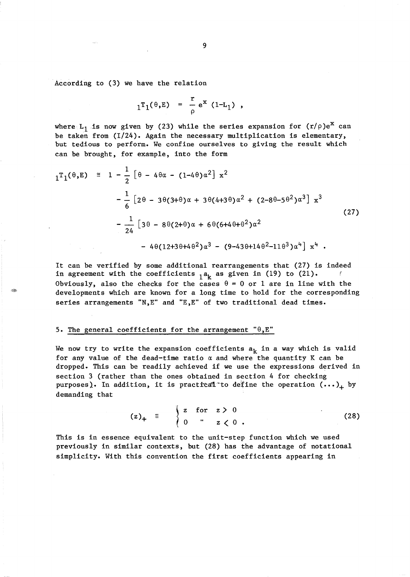According to (3) we have the relation

$$
1^T_1(\theta, E) = \frac{r}{\rho} e^X (1-L_1)
$$
,

where L<sub>1</sub> is now given by (23) while the series expansion for  $(r/\rho)e^{x}$  can be taken from (1/24). Again the necessary multiplication is elementary, but tedious to perform. We confine ourselves to giving the result which can be brought, for example, into the form

$$
1^{T}1(\theta,E) \cong 1 - \frac{1}{2} [\theta - 4\theta\alpha - (1-4\theta)\alpha^{2}] x^{2}
$$
  

$$
- \frac{1}{6} [2\theta - 3\theta(3+\theta)\alpha + 3\theta(4+3\theta)\alpha^{2} + (2-8\theta-5\theta^{2})\alpha^{3}] x^{3}
$$
  

$$
- \frac{1}{24} [3\theta - 8\theta(2+\theta)\alpha + 6\theta(6+4\theta+\theta^{2})\alpha^{2}
$$
  

$$
- 4\theta(12+3\theta+4\theta^{2})\alpha^{3} - (9-43\theta+14\theta^{2}-11\theta^{3})\alpha^{4}] x^{4} .
$$
 (27)

It can be verified by some additional rearrangements that (27) is indeed in agreement with the coefficients  $a_k$  as given in (19) to (21). Obviously, also the checks for the cases  $\theta = 0$  or 1 are in line with the developments which are known for a long time to hold for the corresponding series arrangements "N,E" and "E,E" of two traditional dead times.

## 5. The general coefficients for the arrangement " $\theta$ , E"

We now try to write the expansion coefficients  $a_k$  in a way which is valid for any value of the dead-time ratio  $\alpha$  and where the quantity K can be dropped. This can be readily achieved if we use the expressions derived in section 3 (rather than the ones obtained in section 4 for checking purposes). In addition, it is practical to define the operation  $(\cdots)_+$  by demanding that

$$
(z)_+ \equiv \begin{cases} z & \text{for } z > 0 \\ 0 & x < 0 . \end{cases}
$$
 (28)

This is in essence equivalent to the unit-step function which we used previously in similar contexts, but (28) has the advantage of notational simplicity. With this convention the first coefficients appearing in